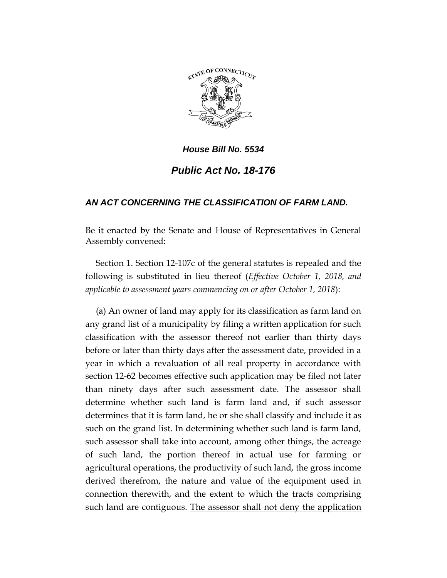

## *House Bill No. 5534 Public Act No. 18-176*

## *AN ACT CONCERNING THE CLASSIFICATION OF FARM LAND.*

Be it enacted by the Senate and House of Representatives in General Assembly convened:

Section 1. Section 12-107c of the general statutes is repealed and the following is substituted in lieu thereof (*Effective October 1, 2018, and applicable to assessment years commencing on or after October 1, 2018*):

(a) An owner of land may apply for its classification as farm land on any grand list of a municipality by filing a written application for such classification with the assessor thereof not earlier than thirty days before or later than thirty days after the assessment date, provided in a year in which a revaluation of all real property in accordance with section 12-62 becomes effective such application may be filed not later than ninety days after such assessment date. The assessor shall determine whether such land is farm land and, if such assessor determines that it is farm land, he or she shall classify and include it as such on the grand list. In determining whether such land is farm land, such assessor shall take into account, among other things, the acreage of such land, the portion thereof in actual use for farming or agricultural operations, the productivity of such land, the gross income derived therefrom, the nature and value of the equipment used in connection therewith, and the extent to which the tracts comprising such land are contiguous. The assessor shall not deny the application